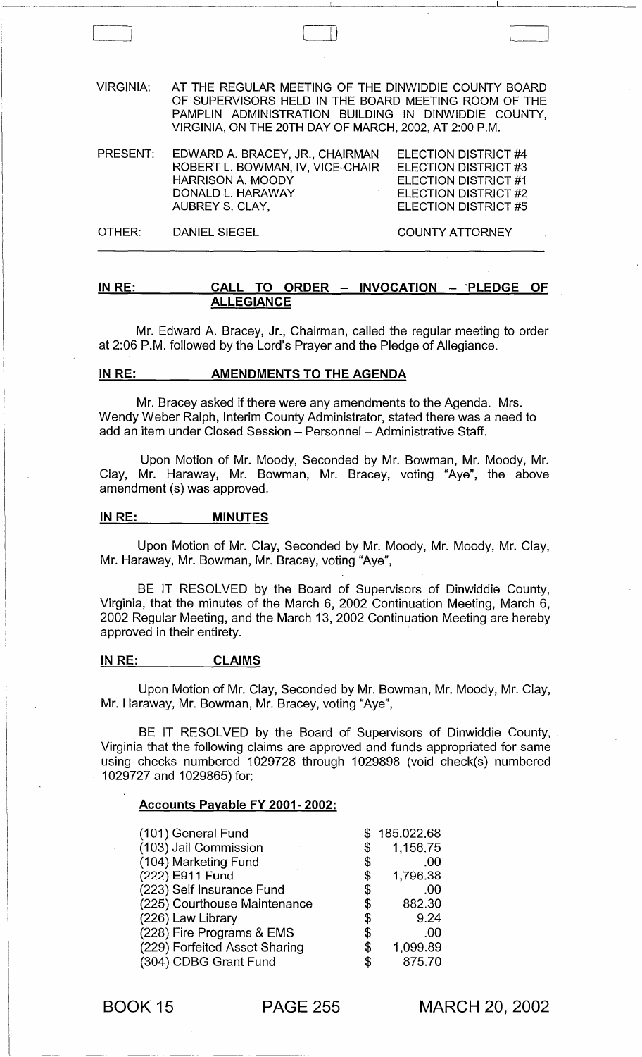VIRGINIA: AT THE REGULAR MEETING OF THE DINWIDDIE COUNTY BOARD OF SUPERVISORS HELD IN THE BOARD MEETING ROOM OF THE PAMPLIN ADMINISTRATION BUILDING IN DINWIDDIE COUNTY, VIRGINIA, ON THE 20TH DAY OF MARCH, 2002, AT 2:00 P.M.

II)

| PRESENT: | EDWARD A. BRACEY, JR., CHAIRMAN  | ELECTION DISTRICT #4 |
|----------|----------------------------------|----------------------|
|          | ROBERT L. BOWMAN, IV, VICE-CHAIR | ELECTION DISTRICT #3 |
|          | <b>HARRISON A. MOODY</b>         | ELECTION DISTRICT #1 |
|          | DONALD L. HARAWAY                | ELECTION DISTRICT #2 |
|          | AUBREY S. CLAY,                  | ELECTION DISTRICT #5 |
|          |                                  |                      |

OTHER: DANIEL SIEGEL COUNTY ATTORNEY

#### IN RE: CALL TO ORDER - INVOCATION - PLEDGE OF ALLEGIANCE

Mr. Edward A. Bracey, Jr., Chairman, called the regular meeting to order at 2:06 P.M. followed by the Lord's Prayer and the Pledge of Allegiance.

#### IN RE: AMENDMENTS TO THE AGENDA

Mr. Bracey asked if there were any amendments to the Agenda. Mrs. Wendy Weber Ralph, Interim County Administrator, stated there was a need to add an item under Closed Session - Personnel - Administrative Staff.

Upon Motion of Mr. Moody, Seconded by Mr. Bowman, Mr. Moody, Mr. Clay, Mr. Haraway, Mr. Bowman, Mr. Bracey, voting "Aye", the above amendment (s) was approved.

#### IN RE: MINUTES

Upon Motion of Mr. Clay, Seconded by Mr. Moody, Mr. Moody, Mr. Clay, Mr. Haraway, Mr. Bowman, Mr. Bracey, voting "Aye",

BE IT RESOLVED by the Board of Supervisors of Dinwiddie County, Virginia, that the minutes of the March 6, 2002 Continuation Meeting, March 6, 2002 Regular Meeting, and the March 13, 2002 Continuation Meeting are hereby approved in their entirety.

#### IN RE: CLAIMS

Upon Motion of Mr. Clay, Seconded by Mr. Bowman, Mr. Moody, Mr. Clay, Mr. Haraway, Mr. Bowman, Mr. Bracey, voting "Aye",

BE IT RESOLVED by the Board of Supervisors of Dinwiddie County, Virginia that the following claims are approved and funds appropriated for same using checks numbered 1029728 through 1029898 (void check(s) numbered 1029727 and 1029865) for:

#### Accounts Payable FY 2001· 2002:

| (101) General Fund            | \$185.022.68   |
|-------------------------------|----------------|
| (103) Jail Commission         | \$<br>1,156.75 |
| (104) Marketing Fund          | \$<br>.00      |
| (222) E911 Fund               | \$<br>1,796.38 |
| (223) Self Insurance Fund     | \$<br>.00      |
| (225) Courthouse Maintenance  | \$<br>882.30   |
| (226) Law Library             | \$<br>9.24     |
| (228) Fire Programs & EMS     | \$<br>.00      |
| (229) Forfeited Asset Sharing | \$<br>1,099.89 |
| (304) CDBG Grant Fund         | \$<br>875.70   |

BOOK 15 PAGE 255

MARCH 20, 2002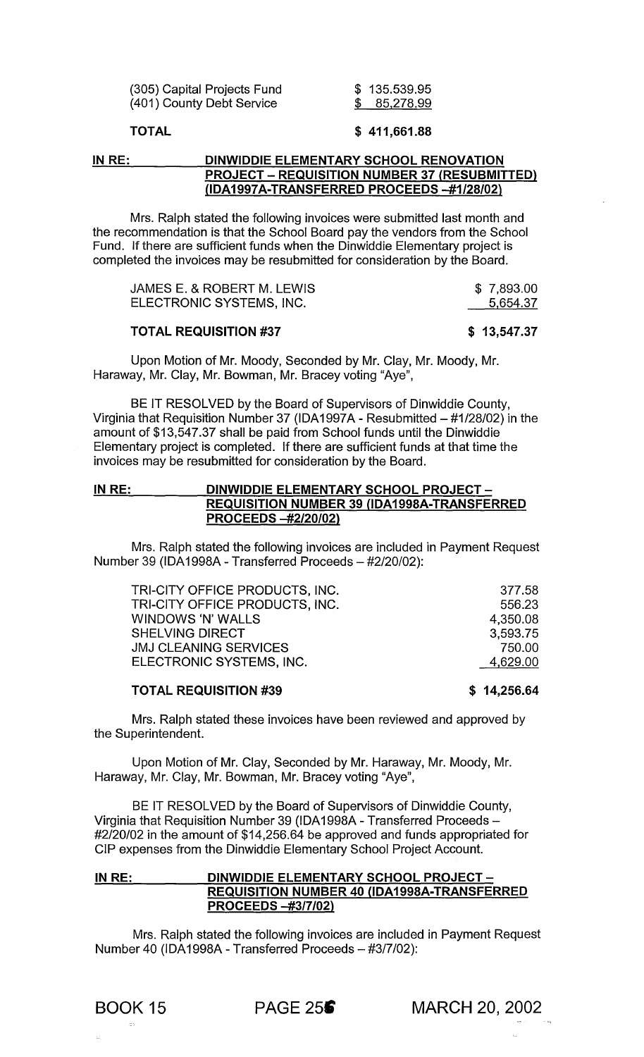|                           | (305) Capital Projects Fund |
|---------------------------|-----------------------------|
| (401) County Debt Service |                             |

\$ 135.539.95 \$ 85,278.99

# TOTAL \$411,661.88

# IN RE: DINWIDDIE ELEMENTARY SCHOOL RENOVATION PROJECT - REQUISITION NUMBER 37 (RESUBMITTED) (lDA1997A-TRANSFERRED PROCEEDS *-#1/28/02)*

Mrs. Ralph stated the following invoices were submitted last month and the recommendation is that the School Board pay the vendors from the School Fund. If there are sufficient funds when the Dinwiddie Elementary project is completed the invoices may be resubmitted for consideration by the Board.

| JAMES E. & ROBERT M. LEWIS | \$7,893.00 |
|----------------------------|------------|
| ELECTRONIC SYSTEMS, INC.   | 5,654.37   |

#### TOTAL REQUISITION #37

#### \$ 13,547.37

Upon Motion of Mr. Moody, Seconded by Mr. Clay, Mr. Moody, Mr. Haraway, Mr. Clay, Mr. Bowman, Mr. Bracey voting "Aye",

BE IT RESOLVED by the Board of Supervisors of Dinwiddie County, Virginia that Requisition Number 37 (IDA 1997A - Resubmitted - #1/28/02) in the amount of \$13,547.37 shall be paid from School funds until the Dinwiddie Elementary project is completed. If there are sufficient funds at that time the invoices may be resubmitted for consideration by the Board.

#### IN RE: DINWIDDIE ELEMENTARY SCHOOL PROJECT-REQUISITION NUMBER 39 (lDA1998A-TRANSFERRED PROCEEDS *-#2/20/02)*

Mrs. Ralph stated the following invoices are included in Payment Request Number 39 (IDA 1998A - Transferred Proceeds - #2/20/02):

| TRI-CITY OFFICE PRODUCTS, INC. | 377.58   |
|--------------------------------|----------|
| TRI-CITY OFFICE PRODUCTS, INC. | 556.23   |
| <b>WINDOWS 'N' WALLS</b>       | 4,350.08 |
| <b>SHELVING DIRECT</b>         | 3.593.75 |
| <b>JMJ CLEANING SERVICES</b>   | 750.00   |
| ELECTRONIC SYSTEMS, INC.       | 4,629.00 |
|                                |          |

#### TOTAL REQUISITION #39

\$ 14,256.64

Mrs. Ralph stated these invoices have been reviewed and approved by the Superintendent.

Upon Motion of Mr. Clay, Seconded by Mr. Haraway, Mr. Moody, Mr. Haraway, Mr. Clay, Mr. Bowman, Mr. Bracey voting "Aye",

BE IT RESOLVED by the Board of Supervisors of Dinwiddie County, Virginia that Requisition Number 39 (IDA1998A - Transferred Proceeds- #2/20102 in the amount of \$14,256.64 be approved and funds appropriated for CIP expenses from the Dinwiddie Elementary School Project Account.

# IN RE: DINWIDDIE ELEMENTARY SCHOOL PROJECT-REQUISITION NUMBER 40 (IDA1998A-TRANSFERRED PROCEEDS *-#3/7/02)*

Mrs. Ralph stated the following invoices are included in Payment Request Number 40 (IDA1998A - Transferred Proceeds - #3/7/02):

BOOK 15 **PAGE 256** MARCH 20, 2002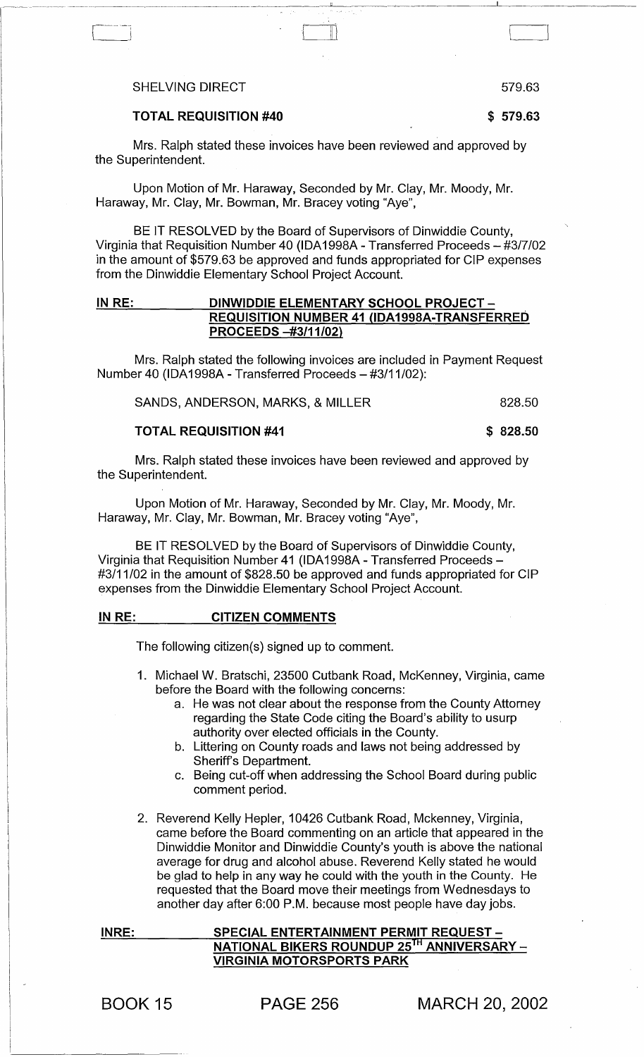#### SHELVING DIRECT **SHELVING** DIRECT

TOTAL REQUISITION #40 \$579.63

Mrs. Ralph stated these invoices have been reviewed and approved by the Superintendent.

 $\Box$ 

Upon Motion of Mr. Haraway, Seconded by Mr. Clay, Mr. Moody, Mr. Haraway, Mr. Clay, Mr. Bowman, Mr. Bracey voting "Aye",

BE IT RESOLVED by the Board of Supervisors of Dinwiddie County, Virginia that Requisition Number 40 (IDA 1998A - Transferred Proceeds - #3/7/02 in the amount of \$579.63 be approved and funds appropriated for CIP expenses from the Dinwiddie Elementary School Project Account.

# IN RE: DINWIDDIE ELEMENTARY SCHOOL PROJECT -REQUISITION NUMBER 41 (lDA1998A-TRANSFERRED PROCEEDS -#3/11/02)

Mrs. Ralph stated the following invoices are included in Payment Request Number 40 (IDA1998A - Transferred Proceeds - #3/11/02):

| SANDS, ANDERSON, MARKS, & MILLER |  | 828.50 |
|----------------------------------|--|--------|
|----------------------------------|--|--------|

#### TOTAL REQUISITION #41 \$ 828.50

Mrs. Ralph stated these invoices have been reviewed and approved by the Superintendent.

Upon Motion of Mr. Haraway, Seconded by Mr. Clay, Mr. Moody, Mr. Haraway, Mr. Clay, Mr. Bowman, Mr. Bracey voting "Aye",

BE IT RESOLVED by the Board of Supervisors of Dinwiddie County, Virginia that Requisition Number 41 (IDA1998A - Transferred Proceeds -#3/11/02 in the amount of \$828.50 be approved and funds appropriated for CIP expenses from the Dinwiddie Elementary School Project Account.

#### IN RE: CITIZEN COMMENTS

The following citizen(s) signed up to comment.

- 1. Michael W. Bratschi, 23500 Cutbank Road, McKenney, Virginia, came before the Board with the following concerns:
	- a. He was not clear about the response from the County Attorney regarding the State Code citing the Board's ability to usurp authority over elected officials in the County.
	- b. Uttering on County roads and laws not being addressed by Sheriff's Department.
	- c. Being cut-off when addressing the School Board during public comment period.
- 2. Reverend Kelly Hepler, 10426 Cutbank Road, Mckenney, Virginia, came before the Board commenting on an article that appeared in the Dinwiddie Monitor and Dinwiddie County's youth is above the national average for drug and alcohol abuse. Reverend Kelly stated he would be glad to help in any way he could with the youth in the County. He requested that the Board move their meetings from Wednesdays to another day after 6:00 P.M. because most people have day jobs.

INRE: SPECIAL ENTERTAINMENT PERMIT REQUEST -NATIONAL BIKERS ROUNDUP 25<sup>TH</sup> ANNIVERSARY -VIRGINIA MOTORSPORTS PARK

BOOK 15 PAGE 256 MARCH 20, 2002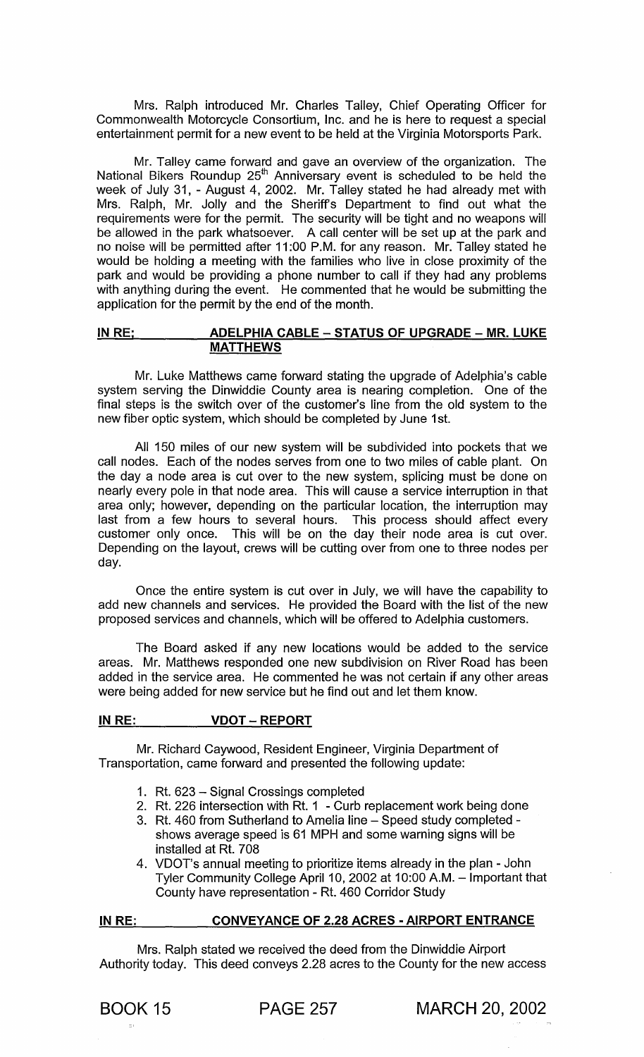Mrs. Ralph introduced Mr. Charles Talley, Chief Operating Officer for Commonwealth Motorcycle Consortium, Inc. and he is here to request a special entertainment permit for a new event to be held at the Virginia Motorsports Park.

Mr. Talley came forward and gave an overview of the organization. The National Bikers Roundup 25<sup>th</sup> Anniversary event is scheduled to be held the week of July 31, - August 4, 2002. Mr. Talley stated he had already met with Mrs. Ralph, Mr. Jolly and the Sheriffs Department to find out what the requirements were for the permit. The security will be tight and no weapons will be allowed in the park whatsoever. A call center will be set up at the park and no noise will be permitted after 11 :00 P.M. for any reason. Mr. Talley stated he would be holding a meeting with the families who live in close proximity of the park and would be providing a phone number to call if they had any problems with anything during the event. He commented that he would be submitting the application for the permit by the end of the month.

# IN RE; ADELPHIA CABLE - STATUS OF UPGRADE - MR. LUKE MATTHEWS

Mr. Luke Matthews came forward stating the upgrade of Adelphia's cable system serving the Dinwiddie County area is nearing completion. One of the final steps is the switch over of the customer's line from the old system to the new fiber optic system, which should be completed by June 1st.

All 150 miles of our new system will be subdivided into pockets that we call nodes. Each of the nodes serves from one to two miles of cable plant. On the day a node area is cut over to the new system, splicing must be done on nearly every pole in that node area. This will cause a service interruption in that area only; however, depending on the particular location, the interruption may last from a few hours to several hours. This process should affect every customer only once. This will be on the day their node area is cut over. Depending on the layout, crews will be cutting over from one to three nodes per day.

Once the entire system is cut over in July, we will have the capability to add new channels and services. He provided the Board with the list of the new proposed services and channels, which will be offered to Adelphia customers.

The Board asked if any new locations would be added to the service areas. Mr. Matthews responded one new subdivision on River Road has been added in the service area. He commented he was not certain if any other areas were being added for new service but he find out and let them know.

# IN RE: VDOT - REPORT

Mr. Richard Caywood, Resident Engineer, Virginia Department of Transportation, came forward and presented the following update:

- 1. Rt. 623 Signal Crossings completed
- 2. Rt. 226 intersection with Rt. 1 Curb replacement work being done
- 3. Rt. 460 from Sutherland to Amelia line Speed study completed shows average speed is 61 MPH and some warning signs will be installed at Rt. 708
- 4. VDOT's annual meeting to prioritize items already in the plan John Tyler Community College April 10, 2002 at 10:00 A.M. - Important that County have representation - Rt. 460 Corridor Study

#### IN RE: CONVEYANCE OF 2.28 ACRES - AIRPORT ENTRANCE

Mrs. Ralph stated we received the deed from the Dinwiddie Airport Authority today. This deed conveys 2.28 acres to the County for the new access

BOOK 15 PAGE 257 MARCH 20, 2002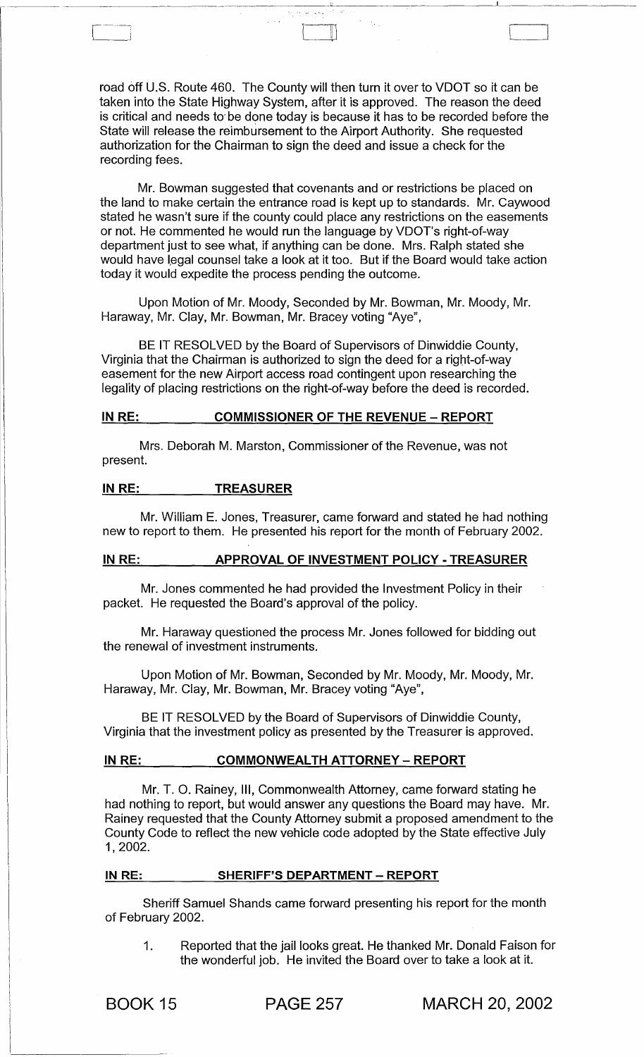road off U.S. Route 460. The County will then turn it over to VDOT so it can be taken into the State Highway System, after it is approved. The reason the deed is critical and needs to' be done today is because it has to be recorded before the State will release the reimbursement to the Airport Authority. She requested authorization for the Chairman to sign the deed and issue a check for the recording fees.

 $\Box$ 

Mr. Bowman suggested that covenants and or restrictions be placed on the land to make certain the entrance road is kept up to standards. Mr. Caywood stated he wasn't sure if the county could place any restrictions on the easements or not. He commented he would run the language by VDOT's right-of-way department just to see what, if anything can be done. Mrs. Ralph stated she would have legal counsel take a look at it too. But if the Board would take action today it would expedite the process pending the outcome.

Upon Motion of Mr. Moody, Seconded by Mr. Bowman, Mr. Moody, Mr. Haraway, Mr. Clay, Mr. Bowman, Mr. Bracey voting "Aye",

BE IT RESOLVED by the Board of Supervisors of Dinwiddie County, Virginia that the Chairman is authorized to sign the deed for a right-of-way easement for the new Airport access road contingent upon researching the legality of placing restrictions on the right-of-way before the deed is recorded.

#### IN RE: COMMISSIONER OF THE REVENUE - REPORT

Mrs. Deborah M. Marston, Commissioner of the Revenue, was not present.

# IN RE: TREASURER

Mr. William E. Jones, Treasurer, came forward and stated he had nothing new to report to them. He presented his report for the month of February 2002.

### IN RE: APPROVAL OF INVESTMENT POLICY - TREASURER

Mr. Jones commented he had provided the Investment Policy in their packet. He requested the Board's approval of the policy.

Mr. Haraway questioned the process Mr. Jones followed for bidding out the renewal of investment instruments.

Upon Motion of Mr. Bowman, Seconded by Mr. Moody, Mr. Moody, Mr. Haraway, Mr. Clay, Mr. Bowman, Mr. Bracey voting "Aye",

BE IT RESOLVED by the Board of Supervisors of Dinwiddie County, Virginia that the investment policy as presented by the Treasurer is approved.

#### IN RE: COMMONWEALTH ATTORNEY - REPORT

Mr. T. O. Rainey, III, Commonwealth Attorney, came forward stating he had nothing to report, but would answer any questions the Board may have. Mr. Rainey requested that the County Attorney submit a proposed amendment to the County Code to reflect the new vehicle code adopted by the State effective July 1,2002.

# IN RE: SHERIFF'S DEPARTMENT - REPORT

Sheriff Samuel Shands came forward presenting his report for the month of February 2002.

1. Reported that the jail looks great. He thanked Mr. Donald Faison for the wonderful job. He invited the Board over to take a look at it.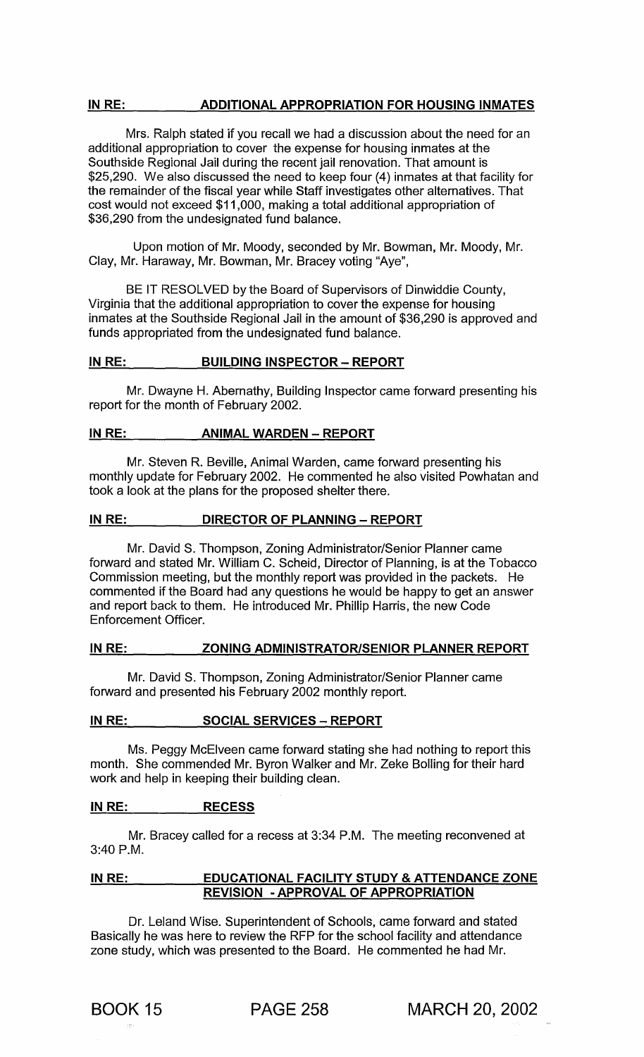# IN RE: ADDITIONAL APPROPRIATION FOR HOUSING INMATES

Mrs. Ralph stated if you recall we had a discussion about the need for an additional appropriation to cover the expense for housing inmates at the Southside Regional Jail during the recent jail renovation. That amount is \$25,290. We also discussed the need to keep four (4) inmates at that facility for the remainder of the fiscal year while Staff investigates other alternatives. That cost would not exceed \$11,000, making a total additional appropriation of \$36,290 from the undesignated fund balance.

Upon motion of Mr. Moody, seconded by Mr. Bowman, Mr. Moody, Mr. Clay, Mr. Haraway, Mr. Bowman, Mr. Bracey voting "Aye",

BE IT RESOLVED by the Board of Supervisors of Dinwiddie County, Virginia that the additional appropriation to cover the expense for housing inmates at the Southside Regional Jail in the amount of \$36,290 is approved and funds appropriated from the undesignated fund balance.

#### IN RE: BUILDING INSPECTOR - REPORT

Mr. Dwayne H. Abernathy, Building Inspector came forward presenting his report for the month of February 2002.

## IN RE: **ANIMAL WARDEN - REPORT**

Mr. Steven R. Beville, Animal Warden, came forward presenting his monthly update for February 2002. He commented he also visited Powhatan and took a look at the plans for the proposed shelter there.

# IN RE: DIRECTOR OF PLANNING - REPORT

Mr. David S. Thompson, Zoning Administrator/Senior Planner came forward and stated Mr. William C. Scheid, Director of Planning, is at the Tobacco Commission meeting, but the monthly report was provided in the packets. He commented if the Board had any questions he would be happy to get an answer and report back to them. He introduced Mr. Phillip Harris, the new Code Enforcement Officer.

# IN RE: ZONING ADMINISTRATOR/SENIOR PLANNER REPORT

Mr. David S. Thompson, Zoning Administrator/Senior Planner came forward and presented his February 2002 monthly report.

# IN RE: SOCIAL SERVICES - REPORT

Ms. Peggy McElveen came forward stating she had nothing to report this month. She commended Mr. Byron Walker and Mr. Zeke Bolling for their hard work and help in keeping their building clean.

# INRE: RECESS

Mr. Bracey called for a recess at 3:34 P.M. The meeting reconvened at 3:40 P.M.

# IN RE: EDUCATIONAL FACILITY STUDY & ATTENDANCE ZONE REVISION -APPROVAL OF APPROPRIATION

Dr. Leland Wise. Superintendent of Schools, came forward and stated Basically he was here to review the RFP for the school facility and attendance zone study, which was presented to the Board. He commented he had Mr.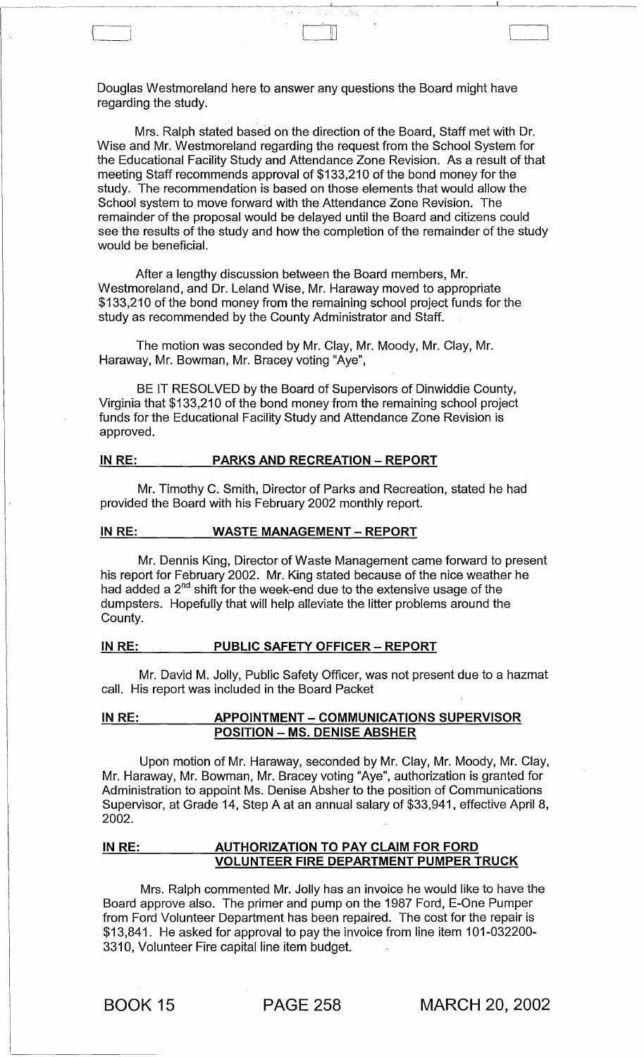Douglas Westmoreland here to answer any questions the Board might have regarding the study.

 $\mathbb{I}$  ,  $\mathbb{I}$ 

-------~--------------

Mrs. Ralph stated based on the direction of the Board, Staff met with Dr. Wise and Mr. Westmoreland regarding the request from the School System for the Educational Facility Study and Attendance Zone Revision. As a result of that meeting Staff recommends approval of \$133,210 of the bond money for the study. The recommendation is based on those elements that would allow the School system to move forward with the Attendance Zone Revision. The remainder of the proposal would be delayed until the Board and citizens could see the results of the study and how the completion of the remainder of the study would be beneficial.

After a lengthy discussion between the Board members, Mr. Westmoreland, and Dr. Leland Wise, Mr. Haraway moved to appropriate \$133,210 of the bond money from the remaining school project funds for the study as recommended by the County Administrator and Staff.

The motion was seconded by Mr. Clay, Mr. Moody, Mr. Clay, Mr. Haraway, Mr. Bowman, Mr. Bracey voting "Aye",

BE IT RESOLVED by the Board of Supervisors of Dinwiddie County, Virginia that \$133,210 of the bond money from the remaining school project funds for the Educational Facility Study and Attendance Zone Revision is approved.

### IN RE: PARKS AND RECREATION - REPORT

Mr. Timothy C. Smith, Director of Parks and Recreation, stated he had provided the Board with his February 2002 monthly report.

#### IN RE: WASTE MANAGEMENT - REPORT

Mr. Dennis King, Director of Waste Management came forward to present his report for February 2002. Mr. King stated because of the nice weather he had added a  $2^{nd}$  shift for the week-end due to the extensive usage of the dumpsters. Hopefully that will help alleviate the litter problems around the County.

# IN RE: PUBLIC SAFETY OFFICER - REPORT

Mr. David M. Jolly, Public Safety Officer, was not present due to a hazmat call. His report was included in the Board Packet

# IN RE: APPOINTMENT - COMMUNICATIONS SUPERVISOR POSITION - MS. DENISE ABSHER

Upon motion of Mr. Haraway, seconded by Mr. Clay, Mr. Moody, Mr. Clay, Mr. Haraway, Mr. Bowman, Mr. Bracey voting "Aye", authorization is granted for Administration to appoint Ms. Denise Absher to the position of Communications Supervisor, at Grade 14, Step A at an annual salary of \$33,941, effective April 8, 2002.

# IN RE: AUTHORIZATION TO PAY CLAIM FOR FORD VOLUNTEER FIRE DEPARTMENT PUMPER TRUCK

Mrs. Ralph commented Mr. Jolly has an invoice he would like to have the Board approve also. The primer and pump on the 1987 Ford, E-One Pumper from Ford Volunteer Department has been repaired. The cost for the repair is \$13,841. He asked for approval to pay the invoice from line item 101-032200- 3310, Volunteer Fire capital line item budget.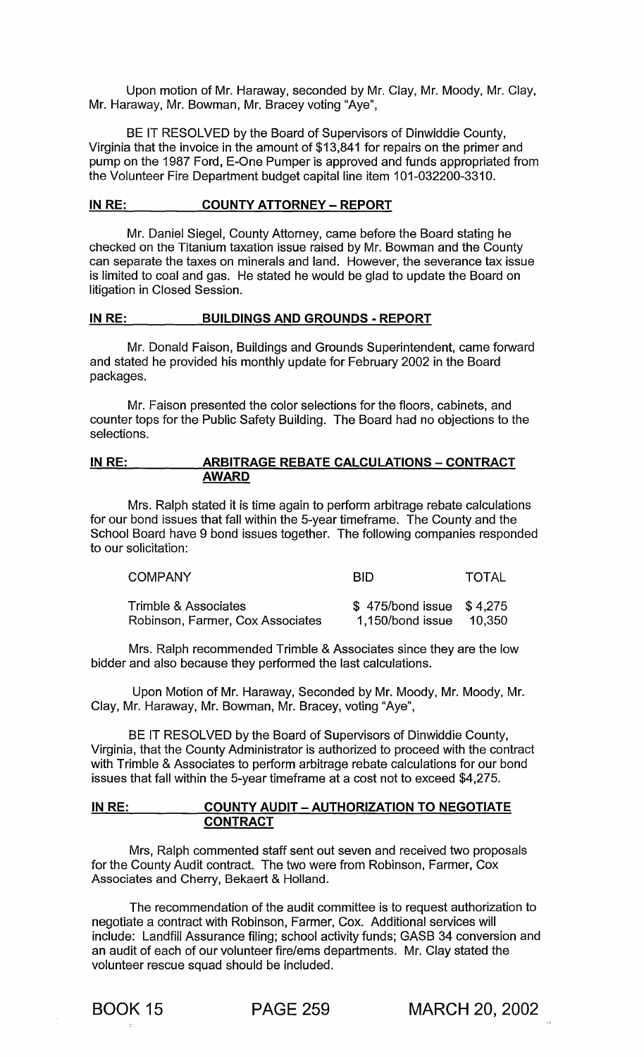Upon motion of Mr. Haraway, seconded by Mr. Clay, Mr. Moody, Mr. Clay, Mr. Haraway, Mr. Bowman, Mr. Bracey voting "Aye",

BE IT RESOLVED by the Board of Supervisors of Dinwiddie County, Virginia that the invoice in the amount of \$13,841 for repairs on the primer and pump on the 1987 Ford, E-One Pumper is approved and funds appropriated from the Volunteer Fire Department budget capital line item 101-032200-3310.

# IN RE: COUNTY ATTORNEY - REPORT

Mr. Daniel Siegel, County Attorney, came before the Board stating he checked on the Titanium taxation issue raised by Mr. Bowman and the County can separate the taxes on minerals and land. However, the severance tax issue is limited to coal and gas. He stated he would be glad to update the Board on litigation in Closed Session.

#### IN RE: BUILDINGS AND GROUNDS - REPORT

Mr. Donald Faison, Buildings and Grounds Superintendent, came forward and stated he provided his monthly update for February 2002 in the Board packages.

Mr. Faison presented the color selections for the floors, cabinets, and counter tops for the Public Safety Building. The Board had no objections to the selections.

#### IN RE: ARBITRAGE REBATE CALCULATIONS - CONTRACT AWARD

Mrs. Ralph stated it is time again to perform arbitrage rebate calculations for our bond issues that fall within the 5-year timeframe. The County and the School Board have 9 bond issues together. The following companies responded to our solicitation:

| COMPANY                          | <b>BID</b>                  | TOTAL    |
|----------------------------------|-----------------------------|----------|
| Trimble & Associates             | $$475/b$ ond issue $$4,275$ |          |
| Robinson, Farmer, Cox Associates | 1,150/bond issue            | - 10.350 |

Mrs. Ralph recommended Trimble & Associates since they are the low bidder and also because they performed the last calculations.

Upon Motion of Mr. Haraway, Seconded by Mr. Moody, Mr. Moody, Mr. Clay, Mr. Haraway, Mr. Bowman, Mr. Bracey, voting "Aye",

BE IT RESOLVED by the Board of Supervisors of Dinwiddie County, Virginia, that the County Administrator is authorized to proceed with the contract with Trimble & Associates to perform arbitrage rebate calculations for our bond issues that fall within the 5-year timeframe at a cost not to exceed \$4,275.

# IN RE: COUNTY AUDIT - AUTHORIZATION TO NEGOTIATE **CONTRACT**

Mrs, Ralph commented staff sent out seven and received two proposals for the County Audit contract. The two were from Robinson, Farmer, Cox Associates and Cherry, Bekaert & Holland.

The recommendation of the audit committee is to request authorization to negotiate a contract with Robinson, Farmer, Cox. Additional services will include: Landfill Assurance filing; school activity funds; GASB 34 conversion and an audit of each of our volunteer fire/ems departments. Mr. Clay stated the volunteer rescue squad should be included.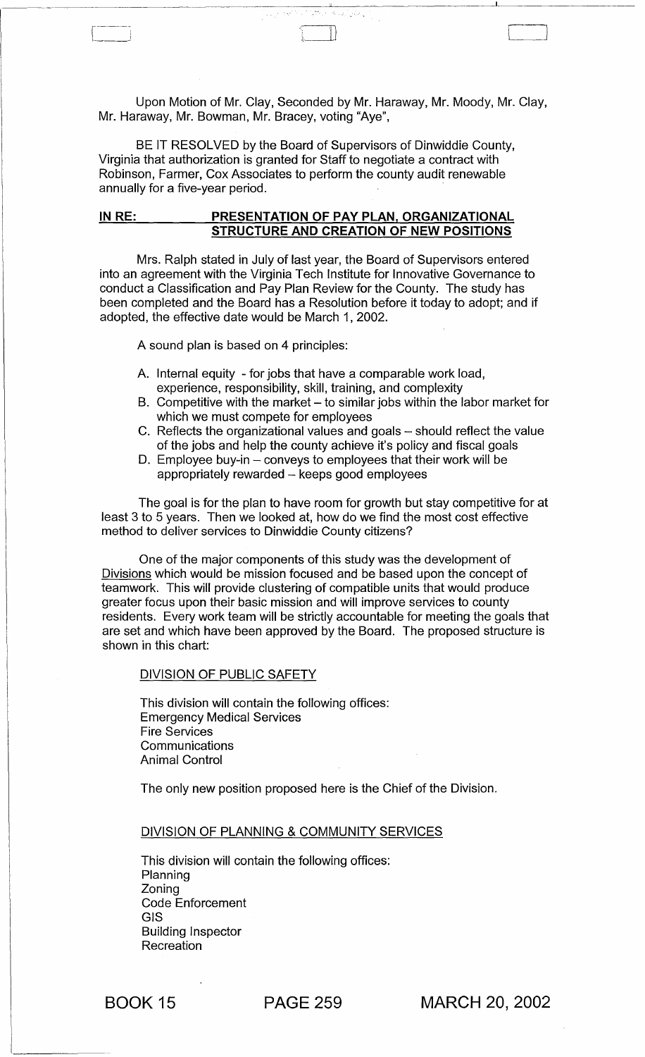Upon Motion of Mr. Clay, Seconded by Mr. Haraway, Mr. Moody, Mr. Clay, Mr. Haraway, Mr. Bowman, Mr. Bracey, voting "Aye",

BE IT RESOLVED by the Board of Supervisors of Dinwiddie County, Virginia that authorization is granted for Staff to negotiate a contract with Robinson, Farmer, Cox Associates to perform the county audit renewable annually for a five-year period.

## IN RE: PRESENTATION OF PAY PLAN, ORGANIZATIONAL STRUCTURE AND CREATION OF NEW POSITIONS

Mrs. Ralph stated in July of last year, the Board of Supervisors entered into an agreement with the Virginia Tech Institute for Innovative Governance to conduct a Classification and Pay Plan Review for the County. The study has been completed and the Board has a Resolution before it today to adopt; and if adopted, the effective date would be March 1,2002.

A sound plan is based on 4 principles:

- A. Internal equity for jobs that have a comparable work load, experience, responsibility, skill, training, and complexity
- B. Competitive with the market  $-$  to similar jobs within the labor market for which we must compete for employees
- C. Reflects the organizational values and goals  $-$  should reflect the value of the jobs and help the county achieve it's policy and fiscal goals
- D. Employee buy-in conveys to employees that their work will be appropriately rewarded - keeps good employees

The goal is for the plan to have room for growth but stay competitive for at least 3 to 5 years. Then we looked at, how do we find the most cost effective method to deliver services to Dinwiddie County citizens?

One of the major components of this study was the development of Divisions which would be mission focused and be based upon the concept of teamwork. This will provide clustering of compatible units that would produce greater focus upon their basic mission and will improve services to county residents. Every work team will be strictly accountable for meeting the goals that are set and which have been approved by the Board. The proposed structure is shown in this chart:

#### DIVISION OF PUBLIC SAFETY

This division will contain the following offices: Emergency Medical Services Fire Services **Communications** Animal Control

The only new position proposed here is the Chief of the Division.

#### DIVISION OF PLANNING & COMMUNITY SERVICES

This division will contain the following offices: Planning Zoning Code Enforcement GIS Building Inspector Recreation

BOOK 15 PAGE 259 MARCH 20, 2002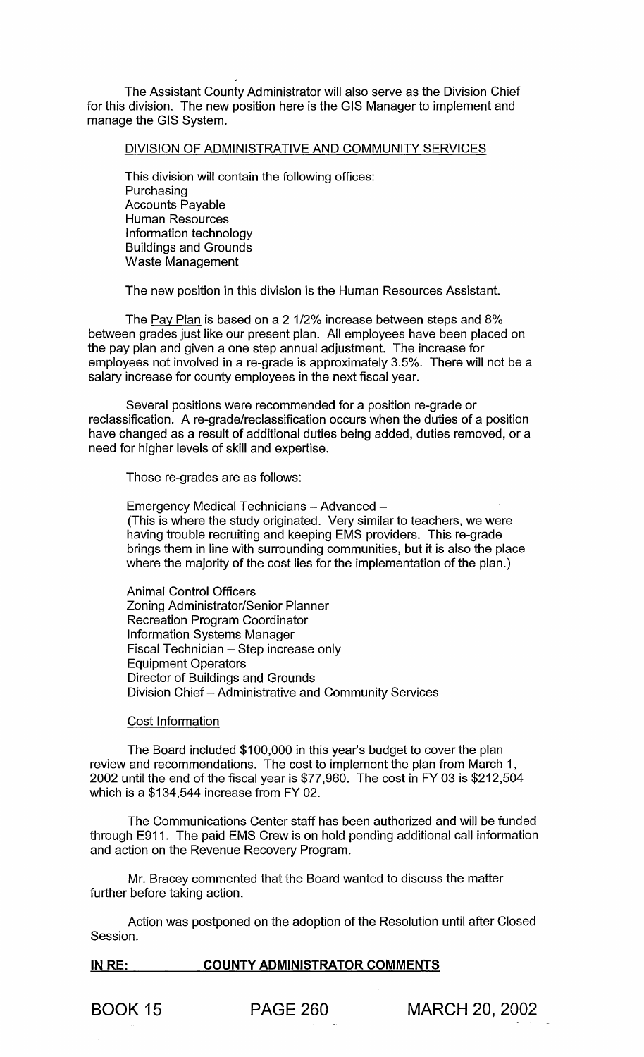The Assistant County Administrator will also serve as the Division Chief for this division. The new position here is the GIS Manager to implement and manage the GIS System.

#### DIVISION OF ADMINISTRATIVE AND COMMUNITY SERVICES

This division will contain the following offices: Purchasing Accounts Payable Human Resources Information technology Buildings and Grounds Waste Management

The new position in this division is the Human Resources Assistant.

The Pay Plan is based on a 2 1/2% increase between steps and 8% between grades just like our present plan. All employees have been placed on the pay plan and given a one step annual adjustment. The increase for employees not involved in a re-grade is approximately 3.5%. There will not be a salary increase for county employees in the next fiscal year.

Several positions were recommended for a position re-grade or reclassification. A re-grade/reclassification occurs when the duties of a position have changed as a result of additional duties being added, duties removed, or a need for higher levels of skill and expertise.

Those re-grades are as follows:

Emergency Medical Technicians - Advanced -(This is where the study originated. Very similar to teachers, we were having trouble recruiting and keeping EMS providers. This re-grade brings them in line with surrounding communities, but it is also the place where the majority of the cost lies for the implementation of the plan.)

Animal Control Officers Zoning Administrator/Senior Planner Recreation Program Coordinator Information Systems Manager Fiscal Technician - Step increase only Equipment Operators Director of Buildings and Grounds Division Chief - Administrative and Community Services

#### Cost Information

The Board included \$100,000 in this year's budget to cover the plan review and recommendations. The cost to implement the plan from March 1 , 2002 until the end of the fiscal year is \$77,960. The cost in FY 03 is \$212,504 which is a \$134,544 increase from FY 02.

The Communications Center staff has been authorized and will be funded through E911. The paid EMS Crew is on hold pending additional call information and action on the Revenue Recovery Program.

Mr. Bracey commented that the Board wanted to discuss the matter further before taking action.

Action was postponed on the adoption of the Resolution until after Closed Session.

### **IN** RE: **COUNTY ADMINISTRATOR COMMENTS**

BOOK 15 PAGE 260 MARCH 20, 2002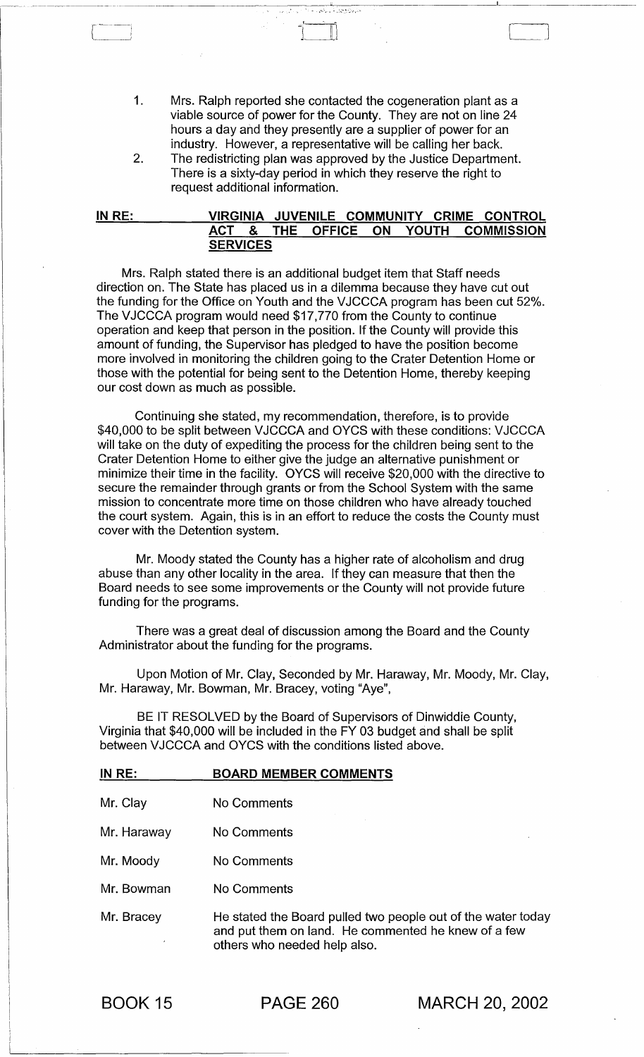1. Mrs. Ralph reported she contacted the cogeneration plant as a viable source of power for the County. They are not on line 24 hours a day and they presently are a supplier of power for an industry. However, a representative will be calling her back.

C]

2. The redistricting plan was approved by the Justice Department. There is a sixty-day period in which they reserve the right to request additional information.

#### IN RE: VIRGINIA JUVENILE COMMUNITY CRIME CONTROL ACT & THE OFFICE ON YOUTH COMMISSION **SERVICES**

Mrs. Ralph stated there is an additional budget item that Staff needs direction on. The State has placed us in a dilemma because they have cut out the funding for the Office on Youth and the VJCCCA program has been cut 52%. The VJCCCA program would need \$17,770 from the County to continue operation and keep that person in the position. If the County will provide this amount of funding, the Supervisor has pledged to have the position become more involved in monitoring the children going to the Crater Detention Home or those with the potential for being sent to the Detention Home, thereby keeping our cost down as much as possible.

Continuing she stated, my recommendation, therefore, is to provide \$40,000 to be split between VJCCCA and OYCS with these conditions: VJCCCA will take on the duty of expediting the process for the children being sent to the Crater Detention Home to either give the judge an alternative punishment or minimize their time in the facility. OYCS will receive \$20,000 with the directive to secure the remainder through grants or from the School System with the same mission to concentrate more time on those children who have already touched the court system. Again, this is in an effort to reduce the costs the County must cover with the Detention system.

Mr. Moody stated the County has a higher rate of alcoholism and drug abuse than any other locality in the area. If they can measure that then the Board needs to see some improvements or the County will not provide future funding for the programs.

There was a great deal of discussion among the Board and the County Administrator about the funding for the programs.

Upon Motion of Mr. Clay, Seconded by Mr. Haraway, Mr. Moody, Mr. Clay, Mr. Haraway, Mr. Bowman, Mr. Bracey, voting "Aye",

BE IT RESOLVED by the Board of Supervisors of Dinwiddie County, Virginia that \$40,000 will be included in the FY 03 budget and shall be split between VJCCCA and OYCS with the conditions listed above.

| IN RE: | <b>BOARD MEMBER COMMENTS</b> |
|--------|------------------------------|
|        |                              |

- Mr. Clay No Comments
- Mr. Haraway No Comments
- Mr. Moody No Comments
- Mr. Bowman No Comments

Mr. Bracey He stated the Board pulled two people out of the water today and put them on land. He commented he knew of a few others who needed help also.

BOOK 15

 $\begin{array}{c} \begin{array}{c} \begin{array}{c} \end{array} \\ \end{array} \end{array}$ 

PAGE 260 MARCH 20, 2002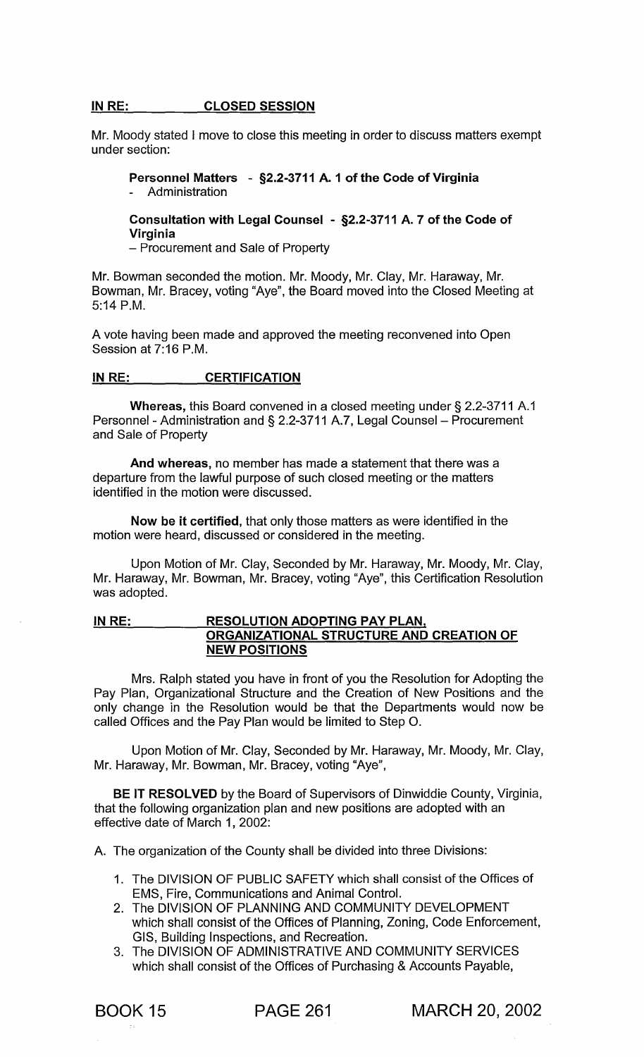#### IN RE: CLOSED SESSION

Mr. Moody stated I move to close this meeting in order to discuss matters exempt under section:

# Personnel Matters - §2.2-3711 A. 1 of the Code of Virginia Administration

# Consultation with Legal Counsel - §2.2-3711 A. 7 of the Code of Virginia

- Procurement and Sale of Property

Mr. Bowman seconded the motion. Mr. Moody, Mr. Clay, Mr. Haraway, Mr. Bowman, Mr. Bracey, voting "Aye", the Board moved into the Closed Meeting at 5:14 P.M.

A vote having been made and approved the meeting reconvened into Open Session at 7:16 P.M.

## IN RE: **CERTIFICATION**

Whereas, this Board convened in a closed meeting under § 2.2-3711 A.1 Personnel - Administration and § 2.2-3711 A.7, Legal Counsel - Procurement and Sale of Property

And whereas, no member has made a statement that there was a departure from the lawful purpose of such closed meeting or the matters identified in the motion were discussed.

Now be it certified, that only those matters as were identified in the motion were heard, discussed or considered in the meeting.

Upon Motion of Mr. Clay, Seconded by Mr. Haraway, Mr. Moody, Mr. Clay, Mr. Haraway, Mr. Bowman, Mr. Bracey, voting "Aye", this Certification Resolution was adopted.

# IN RE: RESOLUTION ADOPTING PAY PLAN. ORGANIZATIONAL STRUCTURE AND CREATION OF NEW POSITIONS

Mrs. Ralph stated you have in front of you the Resolution for Adopting the Pay Plan, Organizational Structure and the Creation of New Positions and the only change in the Resolution would be that the Departments would now be called Offices and the Pay Plan would be limited to Step O.

Upon Motion of Mr. Clay, Seconded by Mr. Haraway, Mr. Moody, Mr. Clay, Mr. Haraway, Mr. Bowman, Mr. Bracey, voting "Aye",

BE IT RESOLVED by the Board of Supervisors of Dinwiddie County, Virginia, that the following organization plan and new positions are adopted with an effective date of March 1, 2002:

A. The organization of the County shall be divided into three Divisions:

- 1. The DIVISION OF PUBLIC SAFETY which shall consist of the Offices of EMS, Fire, Communications and Animal Control.
- 2. The DIVISION OF PLANNING AND COMMUNITY DEVELOPMENT which shall consist of the Offices of Planning, Zoning, Code Enforcement, GIS, Building Inspections, and Recreation.
- 3. The DIVISION OF ADMINISTRATIVE AND COMMUNITY SERVICES which shall consist of the Offices of Purchasing & Accounts Payable,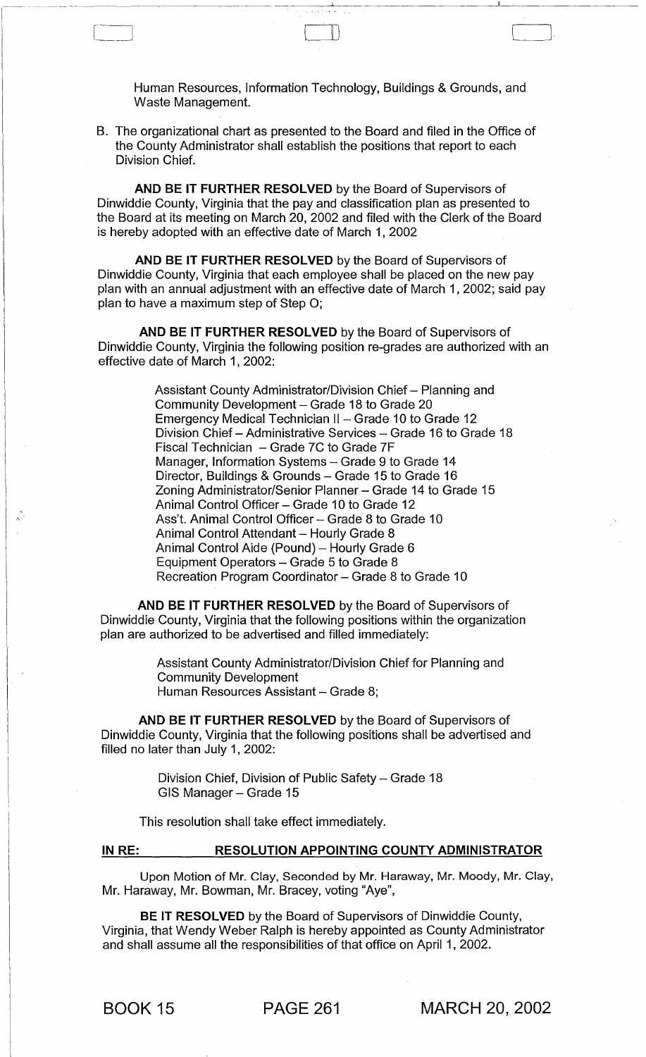Human Resources, Information Technology, Buildings & Grounds, and Waste Management.

-~--~--~------------~------~~------ --------'----.--~--~---------------

B. The organizational chart as presented to the Board and filed in the Office of the County Administrator shall establish the positions that report to each Division Chief.

r--] II)

AND BE IT FURTHER RESOLVED by the Board of Supervisors of Dinwiddie County, Virginia that the pay and classification plan as presented to the Board at its meeting on March 20, 2002 and filed with the Clerk of the Board is hereby adopted with an effective date of March 1, 2002

AND BE IT FURTHER RESOLVED by the Board of Supervisors of Dinwiddie County, Virginia that each employee shall be placed on the new pay plan with an annual adjustment with an effective date of March 1, 2002; said pay plan to have a maximum step of Step 0;

AND BE IT FURTHER RESOLVED by the Board of Supervisors of Dinwiddie County, Virginia the following position re-grades are authorized with an effective date of March 1, 2002:

> Assistant County Administrator/Division Chief - Planning and Community Development - Grade 18 to Grade 20 Emergency Medical Technician II - Grade 10 to Grade 12 Division Chief - Administrative Services - Grade 16 to Grade 18 Fiscal Technician - Grade 7C to Grade 7F Manager, Information Systems - Grade 9 to Grade 14 Director, Buildings & Grounds - Grade 15 to Grade 16 Zoning Administrator/Senior Planner - Grade 14 to Grade 15 Animal Control Officer - Grade 10 to Grade 12 Ass't. Animal Control Officer - Grade 8 to Grade 10 Animal Control Attendant - Hourly Grade 8 Animal Control Aide (Pound) - Hourly Grade 6 Equipment Operators - Grade 5 to Grade 8 Recreation Program Coordinator - Grade 8 to Grade 10

AND BE IT FURTHER RESOLVED by the Board of Supervisors of Dinwiddie County, Virginia that the following positions within the organization plan are authorized to be advertised and filled immediately:

> Assistant County Administrator/Division Chief for Planning and Community Development Human Resources Assistant - Grade 8;

AND BE IT FURTHER RESOLVED by the Board of Supervisors of Dinwiddie County, Virginia that the following positions shall be advertised and filled no later than July 1, 2002:

> Division Chief, Division of Public Safety - Grade 18 GIS Manager - Grade 15

This resolution shall take effect immediately.

IN RE: RESOLUTION APPOINTING COUNTY ADMINISTRATOR

Upon Motion of Mr. Clay, Seconded by Mr. Haraway, Mr. Moody, Mr. Clay, Mr. Haraway, Mr. Bowman, Mr. Bracey, voting "Aye",

BE IT RESOLVED by the Board of Supervisors of Dinwiddie County, Virginia, that Wendy Weber Ralph is hereby appointed as County Administrator and shall assume all the responsibilities of that office on April 1, 2002.

.' ..